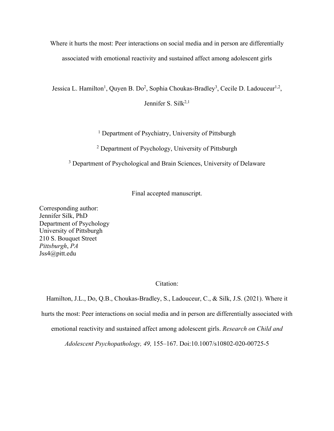Where it hurts the most: Peer interactions on social media and in person are differentially associated with emotional reactivity and sustained affect among adolescent girls

Jessica L. Hamilton<sup>1</sup>, Quyen B. Do<sup>2</sup>, Sophia Choukas-Bradley<sup>3</sup>, Cecile D. Ladouceur<sup>1,2</sup>,

Jennifer S. Silk<sup>2,1</sup>

<sup>1</sup> Department of Psychiatry, University of Pittsburgh

<sup>2</sup> Department of Psychology, University of Pittsburgh

<sup>3</sup> Department of Psychological and Brain Sciences, University of Delaware

Final accepted manuscript.

Corresponding author: Jennifer Silk, PhD Department of Psychology University of Pittsburgh 210 S. Bouquet Street *Pittsburgh*, *PA* Jss4@pitt.edu

Citation:

Hamilton, J.L., Do, Q.B., Choukas-Bradley, S., Ladouceur, C., & Silk, J.S. (2021). Where it hurts the most: Peer interactions on social media and in person are differentially associated with emotional reactivity and sustained affect among adolescent girls. *Research on Child and Adolescent Psychopathology, 49,* 155–167. Doi:10.1007/s10802-020-00725-5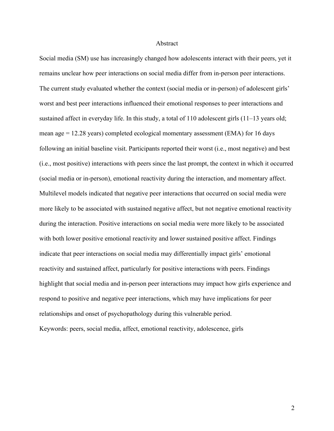#### Abstract

Social media (SM) use has increasingly changed how adolescents interact with their peers, yet it remains unclear how peer interactions on social media differ from in-person peer interactions. The current study evaluated whether the context (social media or in-person) of adolescent girls' worst and best peer interactions influenced their emotional responses to peer interactions and sustained affect in everyday life. In this study, a total of 110 adolescent girls (11–13 years old; mean age = 12.28 years) completed ecological momentary assessment (EMA) for 16 days following an initial baseline visit. Participants reported their worst (i.e., most negative) and best (i.e., most positive) interactions with peers since the last prompt, the context in which it occurred (social media or in-person), emotional reactivity during the interaction, and momentary affect. Multilevel models indicated that negative peer interactions that occurred on social media were more likely to be associated with sustained negative affect, but not negative emotional reactivity during the interaction. Positive interactions on social media were more likely to be associated with both lower positive emotional reactivity and lower sustained positive affect. Findings indicate that peer interactions on social media may differentially impact girls' emotional reactivity and sustained affect, particularly for positive interactions with peers. Findings highlight that social media and in-person peer interactions may impact how girls experience and respond to positive and negative peer interactions, which may have implications for peer relationships and onset of psychopathology during this vulnerable period. Keywords: peers, social media, affect, emotional reactivity, adolescence, girls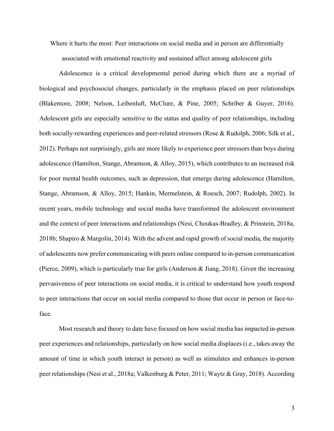Where it hurts the most: Peer interactions on social media and in person are differentially associated with emotional reactivity and sustained affect among adolescent girls

Adolescence is a critical developmental period during which there are a myriad of biological and psychosocial changes, particularly in the emphasis placed on peer relationships (Blakemore, 2008; Nelson, Leibenluft, McClure, & Pine, 2005; Schriber & Guyer, 2016). Adolescent girls are especially sensitive to the status and quality of peer relationships, including both socially-rewarding experiences and peer-related stressors (Rose & Rudolph, 2006; Silk et al., 2012). Perhaps not surprisingly, girls are more likely to experience peer stressors than boys during adolescence (Hamilton, Stange, Abramson, & Alloy, 2015), which contributes to an increased risk for poor mental health outcomes, such as depression, that emerge during adolescence (Hamilton, Stange, Abramson, & Alloy, 2015; Hankin, Mermelstein, & Roesch, 2007; Rudolph, 2002). In recent years, mobile technology and social media have transformed the adolescent environment and the context of peer interactions and relationships (Nesi, Choukas-Bradley, & Prinstein, 2018a, 2018b; Shapiro & Margolin, 2014). With the advent and rapid growth of social media, the majority of adolescents now prefer communicating with peers online compared to in-person communication (Pierce, 2009), which is particularly true for girls (Anderson & Jiang, 2018). Given the increasing pervasiveness of peer interactions on social media, it is critical to understand how youth respond to peer interactions that occur on social media compared to those that occur in person or face-toface.

Most research and theory to date have focused on how social media has impacted in-person peer experiences and relationships, particularly on how social media displaces (i.e., takes away the amount of time in which youth interact in person) as well as stimulates and enhances in-person peer relationships (Nesi et al., 2018a; Valkenburg & Peter, 2011; Waytz & Gray, 2018). According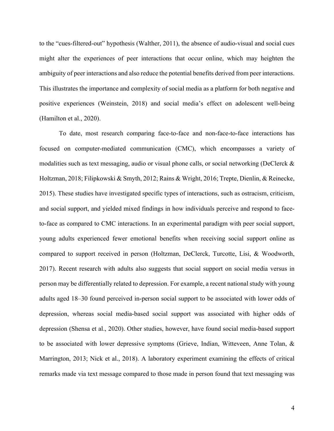to the "cues-filtered-out" hypothesis (Walther, 2011), the absence of audio-visual and social cues might alter the experiences of peer interactions that occur online, which may heighten the ambiguity of peer interactions and also reduce the potential benefits derived from peer interactions. This illustrates the importance and complexity of social media as a platform for both negative and positive experiences (Weinstein, 2018) and social media's effect on adolescent well-being (Hamilton et al., 2020).

To date, most research comparing face-to-face and non-face-to-face interactions has focused on computer-mediated communication (CMC), which encompasses a variety of modalities such as text messaging, audio or visual phone calls, or social networking (DeClerck & Holtzman, 2018; Filipkowski & Smyth, 2012; Rains & Wright, 2016; Trepte, Dienlin, & Reinecke, 2015). These studies have investigated specific types of interactions, such as ostracism, criticism, and social support, and yielded mixed findings in how individuals perceive and respond to faceto-face as compared to CMC interactions. In an experimental paradigm with peer social support, young adults experienced fewer emotional benefits when receiving social support online as compared to support received in person (Holtzman, DeClerck, Turcotte, Lisi, & Woodworth, 2017). Recent research with adults also suggests that social support on social media versus in person may be differentially related to depression. For example, a recent national study with young adults aged 18–30 found perceived in-person social support to be associated with lower odds of depression, whereas social media-based social support was associated with higher odds of depression (Shensa et al., 2020). Other studies, however, have found social media-based support to be associated with lower depressive symptoms (Grieve, Indian, Witteveen, Anne Tolan, & Marrington, 2013; Nick et al., 2018). A laboratory experiment examining the effects of critical remarks made via text message compared to those made in person found that text messaging was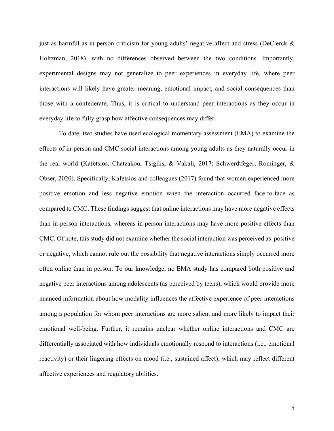just as harmful as in-person criticism for young adults' negative affect and stress (DeClerck & Holtzman, 2018), with no differences observed between the two conditions. Importantly, experimental designs may not generalize to peer experiences in everyday life, where peer interactions will likely have greater meaning, emotional impact, and social consequences than those with a confederate. Thus, it is critical to understand peer interactions as they occur in everyday life to fully grasp how affective consequences may differ.

To date, two studies have used ecological momentary assessment (EMA) to examine the effects of in-person and CMC social interactions among young adults as they naturally occur in the real world (Kafetsios, Chatzakou, Tsigilis, & Vakali, 2017; Schwerdtfeger, Rominger, & Obser, 2020). Specifically, Kafetsios and colleagues (2017) found that women experienced more positive emotion and less negative emotion when the interaction occurred face-to-face as compared to CMC. These findings suggest that online interactions may have more negative effects than in-person interactions, whereas in-person interactions may have more positive effects than CMC. Of note, this study did not examine whether the social interaction was perceived as positive or negative, which cannot rule out the possibility that negative interactions simply occurred more often online than in person. To our knowledge, no EMA study has compared both positive and negative peer interactions among adolescents (as perceived by teens), which would provide more nuanced information about how modality influences the affective experience of peer interactions among a population for whom peer interactions are more salient and more likely to impact their emotional well-being. Further, it remains unclear whether online interactions and CMC are differentially associated with how individuals emotionally respond to interactions (i.e., emotional reactivity) or their lingering effects on mood (i.e., sustained affect), which may reflect different affective experiences and regulatory abilities.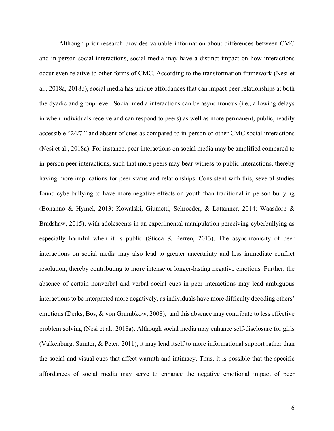Although prior research provides valuable information about differences between CMC and in-person social interactions, social media may have a distinct impact on how interactions occur even relative to other forms of CMC. According to the transformation framework (Nesi et al., 2018a, 2018b), social media has unique affordances that can impact peer relationships at both the dyadic and group level. Social media interactions can be asynchronous (i.e., allowing delays in when individuals receive and can respond to peers) as well as more permanent, public, readily accessible "24/7," and absent of cues as compared to in-person or other CMC social interactions (Nesi et al., 2018a). For instance, peer interactions on social media may be amplified compared to in-person peer interactions, such that more peers may bear witness to public interactions, thereby having more implications for peer status and relationships. Consistent with this, several studies found cyberbullying to have more negative effects on youth than traditional in-person bullying (Bonanno & Hymel, 2013; Kowalski, Giumetti, Schroeder, & Lattanner, 2014; Waasdorp & Bradshaw, 2015), with adolescents in an experimental manipulation perceiving cyberbullying as especially harmful when it is public (Sticca & Perren, 2013). The asynchronicity of peer interactions on social media may also lead to greater uncertainty and less immediate conflict resolution, thereby contributing to more intense or longer-lasting negative emotions. Further, the absence of certain nonverbal and verbal social cues in peer interactions may lead ambiguous interactions to be interpreted more negatively, as individuals have more difficulty decoding others' emotions (Derks, Bos, & von Grumbkow, 2008), and this absence may contribute to less effective problem solving (Nesi et al., 2018a). Although social media may enhance self-disclosure for girls (Valkenburg, Sumter, & Peter, 2011), it may lend itself to more informational support rather than the social and visual cues that affect warmth and intimacy. Thus, it is possible that the specific affordances of social media may serve to enhance the negative emotional impact of peer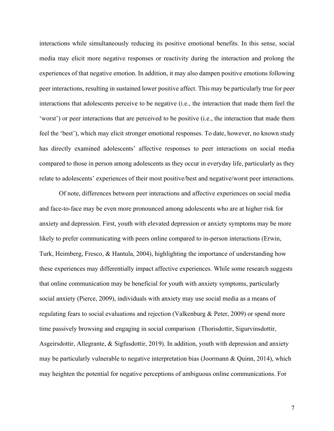interactions while simultaneously reducing its positive emotional benefits. In this sense, social media may elicit more negative responses or reactivity during the interaction and prolong the experiences of that negative emotion. In addition, it may also dampen positive emotions following peer interactions, resulting in sustained lower positive affect. This may be particularly true for peer interactions that adolescents perceive to be negative (i.e., the interaction that made them feel the 'worst') or peer interactions that are perceived to be positive (i.e., the interaction that made them feel the 'best'), which may elicit stronger emotional responses. To date, however, no known study has directly examined adolescents' affective responses to peer interactions on social media compared to those in person among adolescents as they occur in everyday life, particularly as they relate to adolescents' experiences of their most positive/best and negative/worst peer interactions.

Of note, differences between peer interactions and affective experiences on social media and face-to-face may be even more pronounced among adolescents who are at higher risk for anxiety and depression. First, youth with elevated depression or anxiety symptoms may be more likely to prefer communicating with peers online compared to in-person interactions (Erwin, Turk, Heimberg, Fresco, & Hantula, 2004), highlighting the importance of understanding how these experiences may differentially impact affective experiences. While some research suggests that online communication may be beneficial for youth with anxiety symptoms, particularly social anxiety (Pierce, 2009), individuals with anxiety may use social media as a means of regulating fears to social evaluations and rejection (Valkenburg & Peter, 2009) or spend more time passively browsing and engaging in social comparison (Thorisdottir, Sigurvinsdottir, Asgeirsdottir, Allegrante, & Sigfusdottir, 2019). In addition, youth with depression and anxiety may be particularly vulnerable to negative interpretation bias (Joormann & Quinn, 2014), which may heighten the potential for negative perceptions of ambiguous online communications. For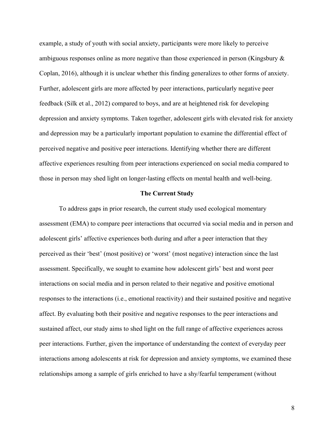example, a study of youth with social anxiety, participants were more likely to perceive ambiguous responses online as more negative than those experienced in person (Kingsbury & Coplan, 2016), although it is unclear whether this finding generalizes to other forms of anxiety. Further, adolescent girls are more affected by peer interactions, particularly negative peer feedback (Silk et al., 2012) compared to boys, and are at heightened risk for developing depression and anxiety symptoms. Taken together, adolescent girls with elevated risk for anxiety and depression may be a particularly important population to examine the differential effect of perceived negative and positive peer interactions. Identifying whether there are different affective experiences resulting from peer interactions experienced on social media compared to those in person may shed light on longer-lasting effects on mental health and well-being.

#### **The Current Study**

To address gaps in prior research, the current study used ecological momentary assessment (EMA) to compare peer interactions that occurred via social media and in person and adolescent girls' affective experiences both during and after a peer interaction that they perceived as their 'best' (most positive) or 'worst' (most negative) interaction since the last assessment. Specifically, we sought to examine how adolescent girls' best and worst peer interactions on social media and in person related to their negative and positive emotional responses to the interactions (i.e., emotional reactivity) and their sustained positive and negative affect. By evaluating both their positive and negative responses to the peer interactions and sustained affect, our study aims to shed light on the full range of affective experiences across peer interactions. Further, given the importance of understanding the context of everyday peer interactions among adolescents at risk for depression and anxiety symptoms, we examined these relationships among a sample of girls enriched to have a shy/fearful temperament (without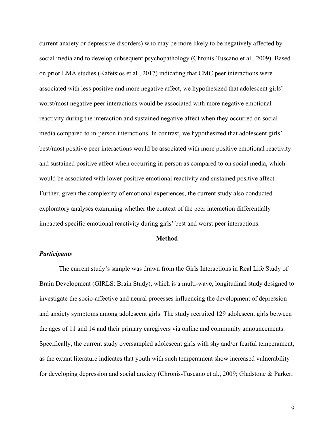current anxiety or depressive disorders) who may be more likely to be negatively affected by social media and to develop subsequent psychopathology (Chronis-Tuscano et al., 2009). Based on prior EMA studies (Kafetsios et al., 2017) indicating that CMC peer interactions were associated with less positive and more negative affect, we hypothesized that adolescent girls' worst/most negative peer interactions would be associated with more negative emotional reactivity during the interaction and sustained negative affect when they occurred on social media compared to in-person interactions. In contrast, we hypothesized that adolescent girls' best/most positive peer interactions would be associated with more positive emotional reactivity and sustained positive affect when occurring in person as compared to on social media, which would be associated with lower positive emotional reactivity and sustained positive affect. Further, given the complexity of emotional experiences, the current study also conducted exploratory analyses examining whether the context of the peer interaction differentially impacted specific emotional reactivity during girls' best and worst peer interactions.

#### **Method**

# *Participants*

The current study's sample was drawn from the Girls Interactions in Real Life Study of Brain Development (GIRLS: Brain Study), which is a multi-wave, longitudinal study designed to investigate the socio-affective and neural processes influencing the development of depression and anxiety symptoms among adolescent girls. The study recruited 129 adolescent girls between the ages of 11 and 14 and their primary caregivers via online and community announcements. Specifically, the current study oversampled adolescent girls with shy and/or fearful temperament, as the extant literature indicates that youth with such temperament show increased vulnerability for developing depression and social anxiety (Chronis-Tuscano et al., 2009; Gladstone & Parker,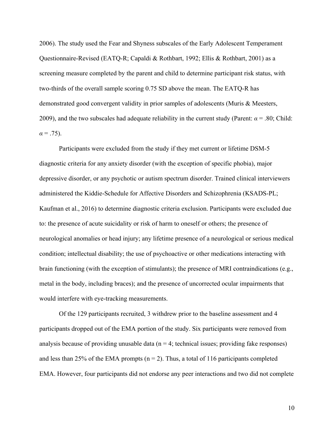2006). The study used the Fear and Shyness subscales of the Early Adolescent Temperament Questionnaire-Revised (EATQ-R; Capaldi & Rothbart, 1992; Ellis & Rothbart, 2001) as a screening measure completed by the parent and child to determine participant risk status, with two-thirds of the overall sample scoring 0.75 SD above the mean. The EATQ-R has demonstrated good convergent validity in prior samples of adolescents (Muris & Meesters, 2009), and the two subscales had adequate reliability in the current study (Parent:  $\alpha$  = .80; Child:  $\alpha = .75$ ).

Participants were excluded from the study if they met current or lifetime DSM-5 diagnostic criteria for any anxiety disorder (with the exception of specific phobia), major depressive disorder, or any psychotic or autism spectrum disorder. Trained clinical interviewers administered the Kiddie-Schedule for Affective Disorders and Schizophrenia (KSADS-PL; Kaufman et al., 2016) to determine diagnostic criteria exclusion. Participants were excluded due to: the presence of acute suicidality or risk of harm to oneself or others; the presence of neurological anomalies or head injury; any lifetime presence of a neurological or serious medical condition; intellectual disability; the use of psychoactive or other medications interacting with brain functioning (with the exception of stimulants); the presence of MRI contraindications (e.g., metal in the body, including braces); and the presence of uncorrected ocular impairments that would interfere with eye-tracking measurements.

Of the 129 participants recruited, 3 withdrew prior to the baseline assessment and 4 participants dropped out of the EMA portion of the study. Six participants were removed from analysis because of providing unusable data  $(n = 4$ ; technical issues; providing fake responses) and less than 25% of the EMA prompts ( $n = 2$ ). Thus, a total of 116 participants completed EMA. However, four participants did not endorse any peer interactions and two did not complete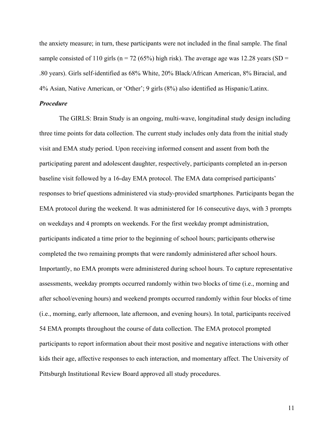the anxiety measure; in turn, these participants were not included in the final sample. The final sample consisted of 110 girls ( $n = 72$  (65%) high risk). The average age was 12.28 years (SD = .80 years). Girls self-identified as 68% White, 20% Black/African American, 8% Biracial, and 4% Asian, Native American, or 'Other'; 9 girls (8%) also identified as Hispanic/Latinx.

## *Procedure*

The GIRLS: Brain Study is an ongoing, multi-wave, longitudinal study design including three time points for data collection. The current study includes only data from the initial study visit and EMA study period. Upon receiving informed consent and assent from both the participating parent and adolescent daughter, respectively, participants completed an in-person baseline visit followed by a 16-day EMA protocol. The EMA data comprised participants' responses to brief questions administered via study-provided smartphones. Participants began the EMA protocol during the weekend. It was administered for 16 consecutive days, with 3 prompts on weekdays and 4 prompts on weekends. For the first weekday prompt administration, participants indicated a time prior to the beginning of school hours; participants otherwise completed the two remaining prompts that were randomly administered after school hours. Importantly, no EMA prompts were administered during school hours. To capture representative assessments, weekday prompts occurred randomly within two blocks of time (i.e., morning and after school/evening hours) and weekend prompts occurred randomly within four blocks of time (i.e., morning, early afternoon, late afternoon, and evening hours). In total, participants received 54 EMA prompts throughout the course of data collection. The EMA protocol prompted participants to report information about their most positive and negative interactions with other kids their age, affective responses to each interaction, and momentary affect. The University of Pittsburgh Institutional Review Board approved all study procedures.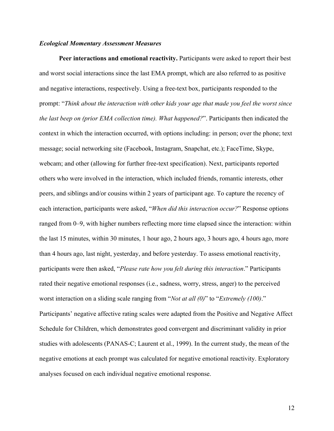## *Ecological Momentary Assessment Measures*

**Peer interactions and emotional reactivity.** Participants were asked to report their best and worst social interactions since the last EMA prompt, which are also referred to as positive and negative interactions, respectively. Using a free-text box, participants responded to the prompt: "*Think about the interaction with other kids your age that made you feel the worst since the last beep on (prior EMA collection time). What happened?*". Participants then indicated the context in which the interaction occurred, with options including: in person; over the phone; text message; social networking site (Facebook, Instagram, Snapchat, etc.); FaceTime, Skype, webcam; and other (allowing for further free-text specification). Next, participants reported others who were involved in the interaction, which included friends, romantic interests, other peers, and siblings and/or cousins within 2 years of participant age. To capture the recency of each interaction, participants were asked, "*When did this interaction occur?*" Response options ranged from 0–9, with higher numbers reflecting more time elapsed since the interaction: within the last 15 minutes, within 30 minutes, 1 hour ago, 2 hours ago, 3 hours ago, 4 hours ago, more than 4 hours ago, last night, yesterday, and before yesterday. To assess emotional reactivity, participants were then asked, "*Please rate how you felt during this interaction*." Participants rated their negative emotional responses (i.e., sadness, worry, stress, anger) to the perceived worst interaction on a sliding scale ranging from "*Not at all (0)*" to "*Extremely (100)*." Participants' negative affective rating scales were adapted from the Positive and Negative Affect Schedule for Children, which demonstrates good convergent and discriminant validity in prior studies with adolescents (PANAS-C; Laurent et al., 1999). In the current study, the mean of the negative emotions at each prompt was calculated for negative emotional reactivity. Exploratory analyses focused on each individual negative emotional response.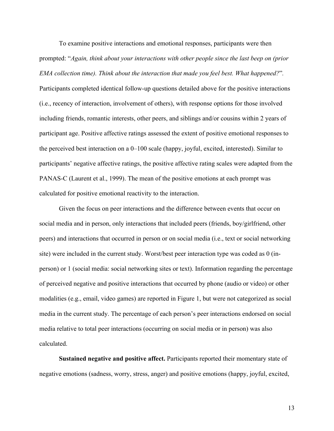To examine positive interactions and emotional responses, participants were then prompted: "*Again, think about your interactions with other people since the last beep on (prior EMA collection time). Think about the interaction that made you feel best. What happened?*"*.*

Participants completed identical follow-up questions detailed above for the positive interactions (i.e., recency of interaction, involvement of others), with response options for those involved including friends, romantic interests, other peers, and siblings and/or cousins within 2 years of participant age. Positive affective ratings assessed the extent of positive emotional responses to the perceived best interaction on a 0–100 scale (happy, joyful, excited, interested). Similar to participants' negative affective ratings, the positive affective rating scales were adapted from the PANAS-C (Laurent et al., 1999). The mean of the positive emotions at each prompt was calculated for positive emotional reactivity to the interaction.

Given the focus on peer interactions and the difference between events that occur on social media and in person, only interactions that included peers (friends, boy/girlfriend, other peers) and interactions that occurred in person or on social media (i.e., text or social networking site) were included in the current study. Worst/best peer interaction type was coded as 0 (inperson) or 1 (social media: social networking sites or text). Information regarding the percentage of perceived negative and positive interactions that occurred by phone (audio or video) or other modalities (e.g., email, video games) are reported in Figure 1, but were not categorized as social media in the current study. The percentage of each person's peer interactions endorsed on social media relative to total peer interactions (occurring on social media or in person) was also calculated.

**Sustained negative and positive affect.** Participants reported their momentary state of negative emotions (sadness, worry, stress, anger) and positive emotions (happy, joyful, excited,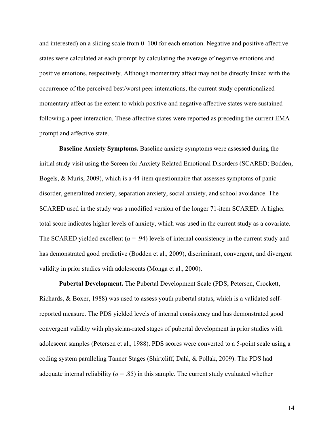and interested) on a sliding scale from 0–100 for each emotion. Negative and positive affective states were calculated at each prompt by calculating the average of negative emotions and positive emotions, respectively. Although momentary affect may not be directly linked with the occurrence of the perceived best/worst peer interactions, the current study operationalized momentary affect as the extent to which positive and negative affective states were sustained following a peer interaction. These affective states were reported as preceding the current EMA prompt and affective state.

**Baseline Anxiety Symptoms.** Baseline anxiety symptoms were assessed during the initial study visit using the Screen for Anxiety Related Emotional Disorders (SCARED; Bodden, Bogels, & Muris, 2009), which is a 44-item questionnaire that assesses symptoms of panic disorder, generalized anxiety, separation anxiety, social anxiety, and school avoidance. The SCARED used in the study was a modified version of the longer 71-item SCARED. A higher total score indicates higher levels of anxiety, which was used in the current study as a covariate. The SCARED yielded excellent ( $\alpha$  = .94) levels of internal consistency in the current study and has demonstrated good predictive (Bodden et al., 2009), discriminant, convergent, and divergent validity in prior studies with adolescents (Monga et al., 2000).

**Pubertal Development.** The Pubertal Development Scale (PDS; Petersen, Crockett, Richards, & Boxer, 1988) was used to assess youth pubertal status, which is a validated selfreported measure. The PDS yielded levels of internal consistency and has demonstrated good convergent validity with physician-rated stages of pubertal development in prior studies with adolescent samples (Petersen et al., 1988). PDS scores were converted to a 5-point scale using a coding system paralleling Tanner Stages (Shirtcliff, Dahl, & Pollak, 2009). The PDS had adequate internal reliability ( $\alpha$  = .85) in this sample. The current study evaluated whether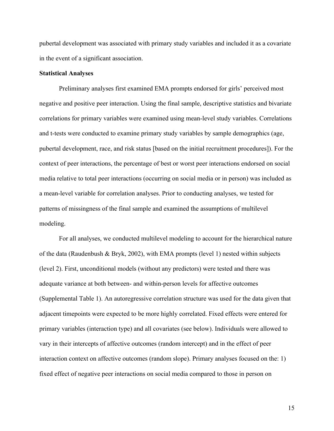pubertal development was associated with primary study variables and included it as a covariate in the event of a significant association.

## **Statistical Analyses**

Preliminary analyses first examined EMA prompts endorsed for girls' perceived most negative and positive peer interaction. Using the final sample, descriptive statistics and bivariate correlations for primary variables were examined using mean-level study variables. Correlations and t-tests were conducted to examine primary study variables by sample demographics (age, pubertal development, race, and risk status [based on the initial recruitment procedures]). For the context of peer interactions, the percentage of best or worst peer interactions endorsed on social media relative to total peer interactions (occurring on social media or in person) was included as a mean-level variable for correlation analyses. Prior to conducting analyses, we tested for patterns of missingness of the final sample and examined the assumptions of multilevel modeling.

For all analyses, we conducted multilevel modeling to account for the hierarchical nature of the data (Raudenbush & Bryk, 2002), with EMA prompts (level 1) nested within subjects (level 2). First, unconditional models (without any predictors) were tested and there was adequate variance at both between- and within-person levels for affective outcomes (Supplemental Table 1). An autoregressive correlation structure was used for the data given that adjacent timepoints were expected to be more highly correlated. Fixed effects were entered for primary variables (interaction type) and all covariates (see below). Individuals were allowed to vary in their intercepts of affective outcomes (random intercept) and in the effect of peer interaction context on affective outcomes (random slope). Primary analyses focused on the: 1) fixed effect of negative peer interactions on social media compared to those in person on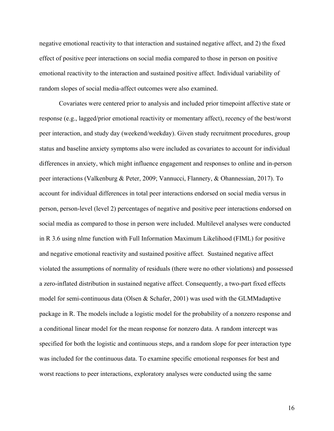negative emotional reactivity to that interaction and sustained negative affect, and 2) the fixed effect of positive peer interactions on social media compared to those in person on positive emotional reactivity to the interaction and sustained positive affect. Individual variability of random slopes of social media-affect outcomes were also examined.

Covariates were centered prior to analysis and included prior timepoint affective state or response (e.g., lagged/prior emotional reactivity or momentary affect), recency of the best/worst peer interaction, and study day (weekend/weekday). Given study recruitment procedures, group status and baseline anxiety symptoms also were included as covariates to account for individual differences in anxiety, which might influence engagement and responses to online and in-person peer interactions (Valkenburg & Peter, 2009; Vannucci, Flannery, & Ohannessian, 2017). To account for individual differences in total peer interactions endorsed on social media versus in person, person-level (level 2) percentages of negative and positive peer interactions endorsed on social media as compared to those in person were included. Multilevel analyses were conducted in R 3.6 using nlme function with Full Information Maximum Likelihood (FIML) for positive and negative emotional reactivity and sustained positive affect. Sustained negative affect violated the assumptions of normality of residuals (there were no other violations) and possessed a zero-inflated distribution in sustained negative affect. Consequently, a two-part fixed effects model for semi-continuous data (Olsen & Schafer, 2001) was used with the GLMMadaptive package in R. The models include a logistic model for the probability of a nonzero response and a conditional linear model for the mean response for nonzero data. A random intercept was specified for both the logistic and continuous steps, and a random slope for peer interaction type was included for the continuous data. To examine specific emotional responses for best and worst reactions to peer interactions, exploratory analyses were conducted using the same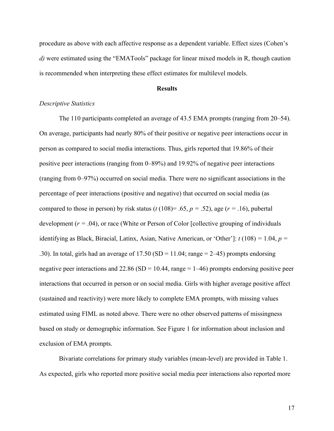procedure as above with each affective response as a dependent variable. Effect sizes (Cohen's *d)* were estimated using the "EMATools" package for linear mixed models in R, though caution is recommended when interpreting these effect estimates for multilevel models.

### **Results**

### *Descriptive Statistics*

The 110 participants completed an average of 43.5 EMA prompts (ranging from 20–54). On average, participants had nearly 80% of their positive or negative peer interactions occur in person as compared to social media interactions. Thus, girls reported that 19.86% of their positive peer interactions (ranging from 0–89%) and 19.92% of negative peer interactions (ranging from 0–97%) occurred on social media. There were no significant associations in the percentage of peer interactions (positive and negative) that occurred on social media (as compared to those in person) by risk status ( $t(108)=0.65$ ,  $p = 0.52$ ), age ( $r = 0.16$ ), pubertal development (*r =* .04), or race (White or Person of Color [collective grouping of individuals identifying as Black, Biracial, Latinx, Asian, Native American, or 'Other']: *t* (108) *=* 1.04, *p =*  .30). In total, girls had an average of  $17.50$  (SD =  $11.04$ ; range =  $2-45$ ) prompts endorsing negative peer interactions and  $22.86$  (SD = 10.44, range = 1–46) prompts endorsing positive peer interactions that occurred in person or on social media. Girls with higher average positive affect (sustained and reactivity) were more likely to complete EMA prompts, with missing values estimated using FIML as noted above. There were no other observed patterns of missingness based on study or demographic information. See Figure 1 for information about inclusion and exclusion of EMA prompts.

Bivariate correlations for primary study variables (mean-level) are provided in Table 1. As expected, girls who reported more positive social media peer interactions also reported more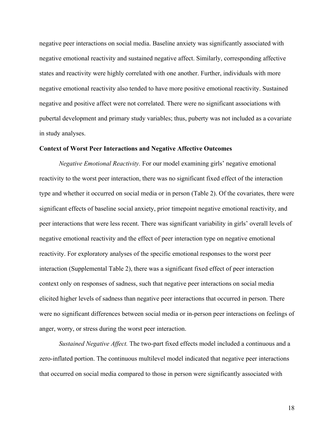negative peer interactions on social media. Baseline anxiety was significantly associated with negative emotional reactivity and sustained negative affect. Similarly, corresponding affective states and reactivity were highly correlated with one another. Further, individuals with more negative emotional reactivity also tended to have more positive emotional reactivity. Sustained negative and positive affect were not correlated. There were no significant associations with pubertal development and primary study variables; thus, puberty was not included as a covariate in study analyses.

### **Context of Worst Peer Interactions and Negative Affective Outcomes**

*Negative Emotional Reactivity.* For our model examining girls' negative emotional reactivity to the worst peer interaction, there was no significant fixed effect of the interaction type and whether it occurred on social media or in person (Table 2). Of the covariates, there were significant effects of baseline social anxiety, prior timepoint negative emotional reactivity, and peer interactions that were less recent. There was significant variability in girls' overall levels of negative emotional reactivity and the effect of peer interaction type on negative emotional reactivity. For exploratory analyses of the specific emotional responses to the worst peer interaction (Supplemental Table 2), there was a significant fixed effect of peer interaction context only on responses of sadness, such that negative peer interactions on social media elicited higher levels of sadness than negative peer interactions that occurred in person. There were no significant differences between social media or in-person peer interactions on feelings of anger, worry, or stress during the worst peer interaction.

*Sustained Negative Affect.* The two-part fixed effects model included a continuous and a zero-inflated portion. The continuous multilevel model indicated that negative peer interactions that occurred on social media compared to those in person were significantly associated with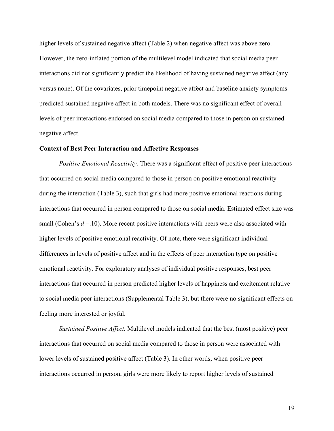higher levels of sustained negative affect (Table 2) when negative affect was above zero. However, the zero-inflated portion of the multilevel model indicated that social media peer interactions did not significantly predict the likelihood of having sustained negative affect (any versus none). Of the covariates, prior timepoint negative affect and baseline anxiety symptoms predicted sustained negative affect in both models. There was no significant effect of overall levels of peer interactions endorsed on social media compared to those in person on sustained negative affect.

### **Context of Best Peer Interaction and Affective Responses**

*Positive Emotional Reactivity.* There was a significant effect of positive peer interactions that occurred on social media compared to those in person on positive emotional reactivity during the interaction (Table 3), such that girls had more positive emotional reactions during interactions that occurred in person compared to those on social media. Estimated effect size was small (Cohen's  $d = 10$ ). More recent positive interactions with peers were also associated with higher levels of positive emotional reactivity. Of note, there were significant individual differences in levels of positive affect and in the effects of peer interaction type on positive emotional reactivity. For exploratory analyses of individual positive responses, best peer interactions that occurred in person predicted higher levels of happiness and excitement relative to social media peer interactions (Supplemental Table 3), but there were no significant effects on feeling more interested or joyful.

*Sustained Positive Affect.* Multilevel models indicated that the best (most positive) peer interactions that occurred on social media compared to those in person were associated with lower levels of sustained positive affect (Table 3). In other words, when positive peer interactions occurred in person, girls were more likely to report higher levels of sustained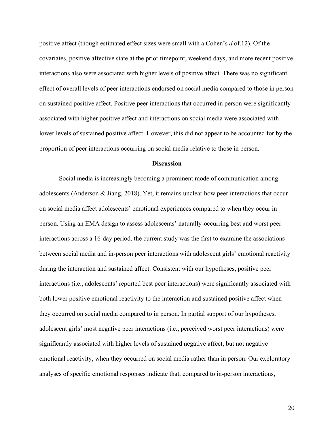positive affect (though estimated effect sizes were small with a Cohen's *d* of.12). Of the covariates, positive affective state at the prior timepoint, weekend days, and more recent positive interactions also were associated with higher levels of positive affect. There was no significant effect of overall levels of peer interactions endorsed on social media compared to those in person on sustained positive affect. Positive peer interactions that occurred in person were significantly associated with higher positive affect and interactions on social media were associated with lower levels of sustained positive affect. However, this did not appear to be accounted for by the proportion of peer interactions occurring on social media relative to those in person.

#### **Discussion**

Social media is increasingly becoming a prominent mode of communication among adolescents (Anderson & Jiang, 2018). Yet, it remains unclear how peer interactions that occur on social media affect adolescents' emotional experiences compared to when they occur in person. Using an EMA design to assess adolescents' naturally-occurring best and worst peer interactions across a 16-day period, the current study was the first to examine the associations between social media and in-person peer interactions with adolescent girls' emotional reactivity during the interaction and sustained affect. Consistent with our hypotheses, positive peer interactions (i.e., adolescents' reported best peer interactions) were significantly associated with both lower positive emotional reactivity to the interaction and sustained positive affect when they occurred on social media compared to in person. In partial support of our hypotheses, adolescent girls' most negative peer interactions (i.e., perceived worst peer interactions) were significantly associated with higher levels of sustained negative affect, but not negative emotional reactivity, when they occurred on social media rather than in person. Our exploratory analyses of specific emotional responses indicate that, compared to in-person interactions,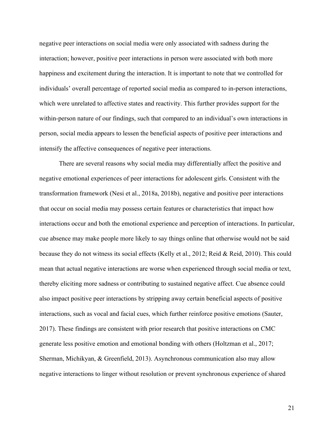negative peer interactions on social media were only associated with sadness during the interaction; however, positive peer interactions in person were associated with both more happiness and excitement during the interaction. It is important to note that we controlled for individuals' overall percentage of reported social media as compared to in-person interactions, which were unrelated to affective states and reactivity. This further provides support for the within-person nature of our findings, such that compared to an individual's own interactions in person, social media appears to lessen the beneficial aspects of positive peer interactions and intensify the affective consequences of negative peer interactions.

There are several reasons why social media may differentially affect the positive and negative emotional experiences of peer interactions for adolescent girls. Consistent with the transformation framework (Nesi et al., 2018a, 2018b), negative and positive peer interactions that occur on social media may possess certain features or characteristics that impact how interactions occur and both the emotional experience and perception of interactions. In particular, cue absence may make people more likely to say things online that otherwise would not be said because they do not witness its social effects (Kelly et al., 2012; Reid & Reid, 2010). This could mean that actual negative interactions are worse when experienced through social media or text, thereby eliciting more sadness or contributing to sustained negative affect. Cue absence could also impact positive peer interactions by stripping away certain beneficial aspects of positive interactions, such as vocal and facial cues, which further reinforce positive emotions (Sauter, 2017). These findings are consistent with prior research that positive interactions on CMC generate less positive emotion and emotional bonding with others (Holtzman et al., 2017; Sherman, Michikyan, & Greenfield, 2013). Asynchronous communication also may allow negative interactions to linger without resolution or prevent synchronous experience of shared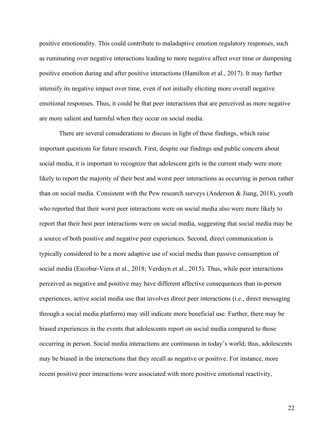positive emotionality. This could contribute to maladaptive emotion regulatory responses, such as ruminating over negative interactions leading to more negative affect over time or dampening positive emotion during and after positive interactions (Hamilton et al., 2017). It may further intensify its negative impact over time, even if not initially eliciting more overall negative emotional responses. Thus, it could be that peer interactions that are perceived as more negative are more salient and harmful when they occur on social media.

There are several considerations to discuss in light of these findings, which raise important questions for future research. First, despite our findings and public concern about social media, it is important to recognize that adolescent girls in the current study were more likely to report the majority of their best and worst peer interactions as occurring in person rather than on social media. Consistent with the Pew research surveys (Anderson & Jiang, 2018), youth who reported that their worst peer interactions were on social media also were more likely to report that their best peer interactions were on social media, suggesting that social media may be a source of both positive and negative peer experiences. Second, direct communication is typically considered to be a more adaptive use of social media than passive consumption of social media (Escobar-Viera et al., 2018; Verduyn et al., 2015). Thus, while peer interactions perceived as negative and positive may have different affective consequences than in-person experiences, active social media use that involves direct peer interactions (i.e., direct messaging through a social media platform) may still indicate more beneficial use. Further, there may be biased experiences in the events that adolescents report on social media compared to those occurring in person. Social media interactions are continuous in today's world; thus, adolescents may be biased in the interactions that they recall as negative or positive. For instance, more recent positive peer interactions were associated with more positive emotional reactivity,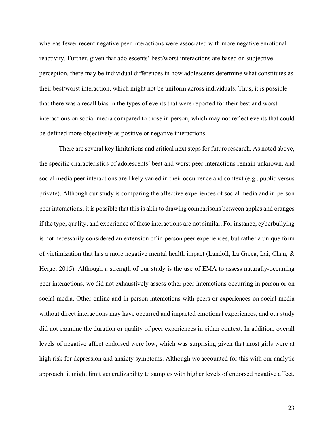whereas fewer recent negative peer interactions were associated with more negative emotional reactivity. Further, given that adolescents' best/worst interactions are based on subjective perception, there may be individual differences in how adolescents determine what constitutes as their best/worst interaction, which might not be uniform across individuals. Thus, it is possible that there was a recall bias in the types of events that were reported for their best and worst interactions on social media compared to those in person, which may not reflect events that could be defined more objectively as positive or negative interactions.

There are several key limitations and critical next steps for future research. As noted above, the specific characteristics of adolescents' best and worst peer interactions remain unknown, and social media peer interactions are likely varied in their occurrence and context (e.g., public versus private). Although our study is comparing the affective experiences of social media and in-person peer interactions, it is possible that this is akin to drawing comparisons between apples and oranges if the type, quality, and experience of these interactions are not similar. For instance, cyberbullying is not necessarily considered an extension of in-person peer experiences, but rather a unique form of victimization that has a more negative mental health impact (Landoll, La Greca, Lai, Chan,  $\&$ Herge, 2015). Although a strength of our study is the use of EMA to assess naturally-occurring peer interactions, we did not exhaustively assess other peer interactions occurring in person or on social media. Other online and in-person interactions with peers or experiences on social media without direct interactions may have occurred and impacted emotional experiences, and our study did not examine the duration or quality of peer experiences in either context. In addition, overall levels of negative affect endorsed were low, which was surprising given that most girls were at high risk for depression and anxiety symptoms. Although we accounted for this with our analytic approach, it might limit generalizability to samples with higher levels of endorsed negative affect.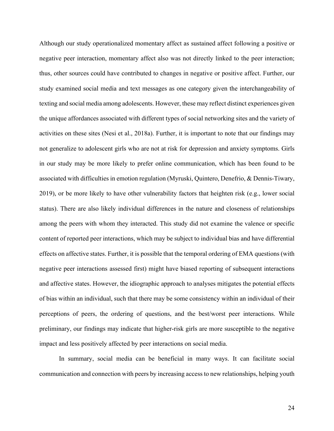Although our study operationalized momentary affect as sustained affect following a positive or negative peer interaction, momentary affect also was not directly linked to the peer interaction; thus, other sources could have contributed to changes in negative or positive affect. Further, our study examined social media and text messages as one category given the interchangeability of texting and social media among adolescents. However, these may reflect distinct experiences given the unique affordances associated with different types of social networking sites and the variety of activities on these sites (Nesi et al., 2018a). Further, it is important to note that our findings may not generalize to adolescent girls who are not at risk for depression and anxiety symptoms. Girls in our study may be more likely to prefer online communication, which has been found to be associated with difficulties in emotion regulation (Myruski, Quintero, Denefrio, & Dennis-Tiwary, 2019), or be more likely to have other vulnerability factors that heighten risk (e.g., lower social status). There are also likely individual differences in the nature and closeness of relationships among the peers with whom they interacted. This study did not examine the valence or specific content of reported peer interactions, which may be subject to individual bias and have differential effects on affective states. Further, it is possible that the temporal ordering of EMA questions (with negative peer interactions assessed first) might have biased reporting of subsequent interactions and affective states. However, the idiographic approach to analyses mitigates the potential effects of bias within an individual, such that there may be some consistency within an individual of their perceptions of peers, the ordering of questions, and the best/worst peer interactions. While preliminary, our findings may indicate that higher-risk girls are more susceptible to the negative impact and less positively affected by peer interactions on social media.

In summary, social media can be beneficial in many ways. It can facilitate social communication and connection with peers by increasing access to new relationships, helping youth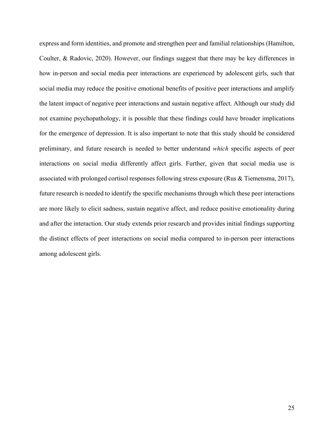express and form identities, and promote and strengthen peer and familial relationships (Hamilton, Coulter, & Radovic, 2020). However, our findings suggest that there may be key differences in how in-person and social media peer interactions are experienced by adolescent girls, such that social media may reduce the positive emotional benefits of positive peer interactions and amplify the latent impact of negative peer interactions and sustain negative affect. Although our study did not examine psychopathology, it is possible that these findings could have broader implications for the emergence of depression. It is also important to note that this study should be considered preliminary, and future research is needed to better understand *which* specific aspects of peer interactions on social media differently affect girls. Further, given that social media use is associated with prolonged cortisol responses following stress exposure (Rus & Tiemensma, 2017), future research is needed to identify the specific mechanisms through which these peer interactions are more likely to elicit sadness, sustain negative affect, and reduce positive emotionality during and after the interaction. Our study extends prior research and provides initial findings supporting the distinct effects of peer interactions on social media compared to in-person peer interactions among adolescent girls.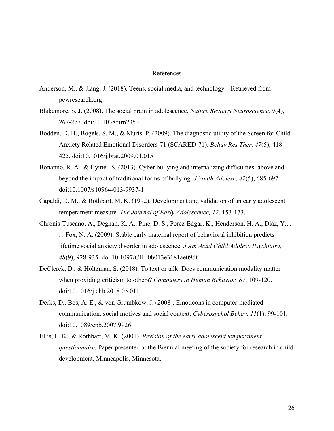#### References

- Anderson, M., & Jiang, J. (2018). Teens, social media, and technology. Retrieved from pewresearch.org
- Blakemore, S. J. (2008). The social brain in adolescence. *Nature Reviews Neuroscience, 9*(4), 267-277. doi:10.1038/nrn2353
- Bodden, D. H., Bogels, S. M., & Muris, P. (2009). The diagnostic utility of the Screen for Child Anxiety Related Emotional Disorders-71 (SCARED-71). *Behav Res Ther, 47*(5), 418- 425. doi:10.1016/j.brat.2009.01.015
- Bonanno, R. A., & Hymel, S. (2013). Cyber bullying and internalizing difficulties: above and beyond the impact of traditional forms of bullying. *J Youth Adolesc, 42*(5), 685-697. doi:10.1007/s10964-013-9937-1
- Capaldi, D. M., & Rothbart, M. K. (1992). Development and validation of an early adolescent temperament measure. *The Journal of Early Adolescence, 12*, 153-173.
- Chronis-Tuscano, A., Degnan, K. A., Pine, D. S., Perez-Edgar, K., Henderson, H. A., Diaz, Y., . . . Fox, N. A. (2009). Stable early maternal report of behavioral inhibition predicts lifetime social anxiety disorder in adolescence. *J Am Acad Child Adolesc Psychiatry, 48*(9), 928-935. doi:10.1097/CHI.0b013e3181ae09df
- DeClerck, D., & Holtzman, S. (2018). To text or talk: Does communication modality matter when providing criticism to others? *Computers in Human Behavior, 87*, 109-120. doi:10.1016/j.chb.2018.05.011
- Derks, D., Bos, A. E., & von Grumbkow, J. (2008). Emoticons in computer-mediated communication: social motives and social context. *Cyberpsychol Behav, 11*(1), 99-101. doi:10.1089/cpb.2007.9926
- Ellis, L. K., & Rothbart, M. K. (2001). *Revision of the early adolescent temperament questionnaire.* Paper presented at the Biennial meeting of the society for research in child development, Minneapolis, Minnesota.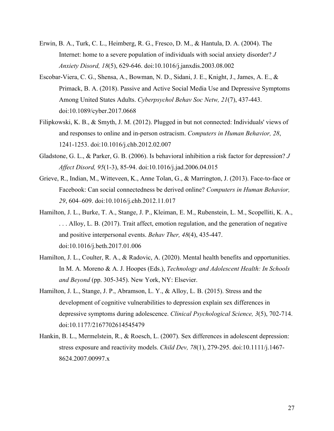- Erwin, B. A., Turk, C. L., Heimberg, R. G., Fresco, D. M., & Hantula, D. A. (2004). The Internet: home to a severe population of individuals with social anxiety disorder? *J Anxiety Disord, 18*(5), 629-646. doi:10.1016/j.janxdis.2003.08.002
- Escobar-Viera, C. G., Shensa, A., Bowman, N. D., Sidani, J. E., Knight, J., James, A. E., & Primack, B. A. (2018). Passive and Active Social Media Use and Depressive Symptoms Among United States Adults. *Cyberpsychol Behav Soc Netw, 21*(7), 437-443. doi:10.1089/cyber.2017.0668
- Filipkowski, K. B., & Smyth, J. M. (2012). Plugged in but not connected: Individuals' views of and responses to online and in-person ostracism. *Computers in Human Behavior, 28*, 1241-1253. doi:10.1016/j.chb.2012.02.007
- Gladstone, G. L., & Parker, G. B. (2006). Is behavioral inhibition a risk factor for depression? *J Affect Disord, 95*(1-3), 85-94. doi:10.1016/j.jad.2006.04.015
- Grieve, R., Indian, M., Witteveen, K., Anne Tolan, G., & Marrington, J. (2013). Face-to-face or Facebook: Can social connectedness be derived online? *Computers in Human Behavior, 29*, 604–609. doi:10.1016/j.chb.2012.11.017
- Hamilton, J. L., Burke, T. A., Stange, J. P., Kleiman, E. M., Rubenstein, L. M., Scopelliti, K. A., . . . Alloy, L. B. (2017). Trait affect, emotion regulation, and the generation of negative and positive interpersonal events. *Behav Ther, 48*(4), 435-447. doi:10.1016/j.beth.2017.01.006
- Hamilton, J. L., Coulter, R. A., & Radovic, A. (2020). Mental health benefits and opportunities. In M. A. Moreno & A. J. Hoopes (Eds.), *Technology and Adolescent Health: In Schools and Beyond* (pp. 305-345). New York, NY: Elsevier.
- Hamilton, J. L., Stange, J. P., Abramson, L. Y., & Alloy, L. B. (2015). Stress and the development of cognitive vulnerabilities to depression explain sex differences in depressive symptoms during adolescence. *Clinical Psychological Science, 3*(5), 702-714. doi:10.1177/2167702614545479
- Hankin, B. L., Mermelstein, R., & Roesch, L. (2007). Sex differences in adolescent depression: stress exposure and reactivity models. *Child Dev, 78*(1), 279-295. doi:10.1111/j.1467- 8624.2007.00997.x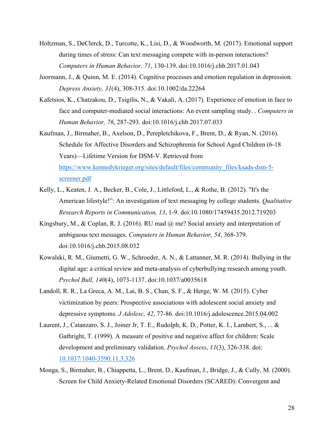- Holtzman, S., DeClerck, D., Turcotte, K., Lisi, D., & Woodworth, M. (2017). Emotional support during times of stress: Can text messaging compete with in-person interactions? *Computers in Human Behavior, 71*, 130-139. doi:10.1016/j.chb.2017.01.043
- Joormann, J., & Quinn, M. E. (2014). Cognitive processes and emotion regulation in depression. *Depress Anxiety, 31*(4), 308-315. doi:10.1002/da.22264
- Kafetsios, K., Chatzakou, D., Tsigilis, N., & Vakali, A. (2017). Experience of emotion in face to face and computer-mediated social interactions: An event sampling study. . *Computers in Human Behavior, 76*, 287-293. doi:10.1016/j.chb.2017.07.033
- Kaufman, J., Birmaher, B., Axelson, D., Perepletchikova, F., Brent, D., & Ryan, N. (2016). Schedule for Affective Disorders and Schizophrenia for School Aged Children (6-18 Years)—Lifetime Version for DSM-V. Retrieved from https://www.kennedykrieger.org/sites/default/files/community\_files/ksads-dsm-5 screener.pdf
- Kelly, L., Keaten, J. A., Becker, B., Cole, J., Littleford, L., & Rothe, B. (2012). "It's the American lifestyle!": An investigation of text messaging by college students. *Qualitative Research Reports in Communication, 13*, 1-9. doi:10.1080/17459435.2012.719203
- Kingsbury, M., & Coplan, R. J. (2016). RU mad @ me? Social anxiety and interpretation of ambiguous text messages. *Computers in Human Behavior, 54*, 368-379. doi:10.1016/j.chb.2015.08.032
- Kowalski, R. M., Giumetti, G. W., Schroeder, A. N., & Lattanner, M. R. (2014). Bullying in the digital age: a critical review and meta-analysis of cyberbullying research among youth. *Psychol Bull, 140*(4), 1073-1137. doi:10.1037/a0035618
- Landoll, R. R., La Greca, A. M., Lai, B. S., Chan, S. F., & Herge, W. M. (2015). Cyber victimization by peers: Prospective associations with adolescent social anxiety and depressive symptoms. *J Adolesc, 42*, 77-86. doi:10.1016/j.adolescence.2015.04.002
- Laurent, J., Catanzaro, S. J., Joiner Jr, T. E., Rudolph, K. D., Potter, K. I., Lambert, S., ... & Gathright, T. (1999). A measure of positive and negative affect for children: Scale development and preliminary validation. *Psychol Assess*, *11*(3), 326-338. doi: 10.1037/1040-3590.11.3.326
- Monga, S., Birmaher, B., Chiappetta, L., Brent, D., Kaufman, J., Bridge, J., & Cully, M. (2000). Screen for Child Anxiety‐Related Emotional Disorders (SCARED): Convergent and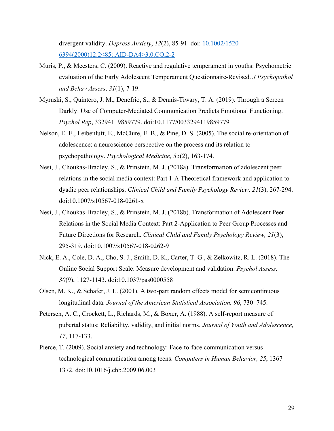divergent validity. *Depress Anxiety*, *12*(2), 85-91. doi: 10.1002/1520- 6394(2000)12:2<85::AID-DA4>3.0.CO;2-2

- Muris, P., & Meesters, C. (2009). Reactive and regulative temperament in youths: Psychometric evaluation of the Early Adolescent Temperament Questionnaire-Revised. *J Psychopathol and Behav Assess*, *31*(1), 7-19.
- Myruski, S., Quintero, J. M., Denefrio, S., & Dennis-Tiwary, T. A. (2019). Through a Screen Darkly: Use of Computer-Mediated Communication Predicts Emotional Functioning. *Psychol Rep*, 33294119859779. doi:10.1177/0033294119859779
- Nelson, E. E., Leibenluft, E., McClure, E. B., & Pine, D. S. (2005). The social re-orientation of adolescence: a neuroscience perspective on the process and its relation to psychopathology. *Psychological Medicine, 35*(2), 163-174.
- Nesi, J., Choukas-Bradley, S., & Prinstein, M. J. (2018a). Transformation of adolescent peer relations in the social media context: Part 1-A Theoretical framework and application to dyadic peer relationships. *Clinical Child and Family Psychology Review, 21*(3), 267-294. doi:10.1007/s10567-018-0261-x
- Nesi, J., Choukas-Bradley, S., & Prinstein, M. J. (2018b). Transformation of Adolescent Peer Relations in the Social Media Context: Part 2-Application to Peer Group Processes and Future Directions for Research. *Clinical Child and Family Psychology Review, 21*(3), 295-319. doi:10.1007/s10567-018-0262-9
- Nick, E. A., Cole, D. A., Cho, S. J., Smith, D. K., Carter, T. G., & Zelkowitz, R. L. (2018). The Online Social Support Scale: Measure development and validation. *Psychol Assess, 30*(9), 1127-1143. doi:10.1037/pas0000558
- Olsen, M. K., & Schafer, J. L. (2001). A two-part random effects model for semicontinuous longitudinal data. *Journal of the American Statistical Association, 96*, 730–745.
- Petersen, A. C., Crockett, L., Richards, M., & Boxer, A. (1988). A self-report measure of pubertal status: Reliability, validity, and initial norms. *Journal of Youth and Adolescence, 17*, 117-133.
- Pierce, T. (2009). Social anxiety and technology: Face-to-face communication versus technological communication among teens. *Computers in Human Behavior, 25*, 1367– 1372. doi:10.1016/j.chb.2009.06.003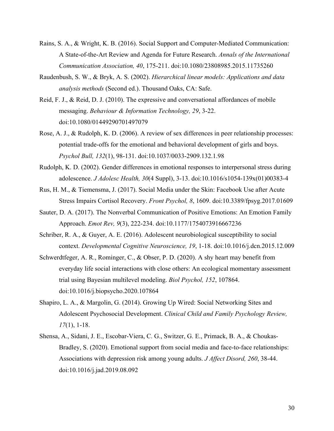- Rains, S. A., & Wright, K. B. (2016). Social Support and Computer-Mediated Communication: A State-of-the-Art Review and Agenda for Future Research. *Annals of the International Communication Association, 40*, 175-211. doi:10.1080/23808985.2015.11735260
- Raudenbush, S. W., & Bryk, A. S. (2002). *Hierarchical linear models: Applications and data analysis methods* (Second ed.). Thousand Oaks, CA: Safe.
- Reid, F. J., & Reid, D. J. (2010). The expressive and conversational affordances of mobile messaging. *Behaviour & Information Technology, 29*, 3-22. doi:10.1080/01449290701497079
- Rose, A. J., & Rudolph, K. D. (2006). A review of sex differences in peer relationship processes: potential trade-offs for the emotional and behavioral development of girls and boys. *Psychol Bull, 132*(1), 98-131. doi:10.1037/0033-2909.132.1.98
- Rudolph, K. D. (2002). Gender differences in emotional responses to interpersonal stress during adolescence. *J Adolesc Health, 30*(4 Suppl), 3-13. doi:10.1016/s1054-139x(01)00383-4
- Rus, H. M., & Tiemensma, J. (2017). Social Media under the Skin: Facebook Use after Acute Stress Impairs Cortisol Recovery. *Front Psychol, 8*, 1609. doi:10.3389/fpsyg.2017.01609
- Sauter, D. A. (2017). The Nonverbal Communication of Positive Emotions: An Emotion Family Approach. *Emot Rev, 9*(3), 222-234. doi:10.1177/1754073916667236
- Schriber, R. A., & Guyer, A. E. (2016). Adolescent neurobiological susceptibility to social context. *Developmental Cognitive Neuroscience, 19*, 1-18. doi:10.1016/j.dcn.2015.12.009
- Schwerdtfeger, A. R., Rominger, C., & Obser, P. D. (2020). A shy heart may benefit from everyday life social interactions with close others: An ecological momentary assessment trial using Bayesian multilevel modeling. *Biol Psychol, 152*, 107864. doi:10.1016/j.biopsycho.2020.107864
- Shapiro, L. A., & Margolin, G. (2014). Growing Up Wired: Social Networking Sites and Adolescent Psychosocial Development. *Clinical Child and Family Psychology Review, 17*(1), 1-18.
- Shensa, A., Sidani, J. E., Escobar-Viera, C. G., Switzer, G. E., Primack, B. A., & Choukas-Bradley, S. (2020). Emotional support from social media and face-to-face relationships: Associations with depression risk among young adults. *J Affect Disord, 260*, 38-44. doi:10.1016/j.jad.2019.08.092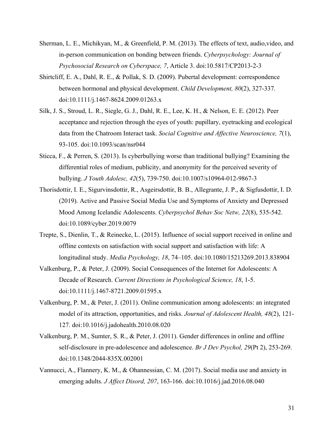- Sherman, L. E., Michikyan, M., & Greenfield, P. M. (2013). The effects of text, audio,video, and in-person communication on bonding between friends. *Cyberpsychology: Journal of Psychosocial Research on Cyberspace, 7*, Article 3. doi:10.5817/CP2013-2-3
- Shirtcliff, E. A., Dahl, R. E., & Pollak, S. D. (2009). Pubertal development: correspondence between hormonal and physical development. *Child Development, 80*(2), 327-337. doi:10.1111/j.1467-8624.2009.01263.x
- Silk, J. S., Stroud, L. R., Siegle, G. J., Dahl, R. E., Lee, K. H., & Nelson, E. E. (2012). Peer acceptance and rejection through the eyes of youth: pupillary, eyetracking and ecological data from the Chatroom Interact task. *Social Cognitive and Affective Neuroscience, 7*(1), 93-105. doi:10.1093/scan/nsr044
- Sticca, F., & Perren, S. (2013). Is cyberbullying worse than traditional bullying? Examining the differential roles of medium, publicity, and anonymity for the perceived severity of bullying. *J Youth Adolesc, 42*(5), 739-750. doi:10.1007/s10964-012-9867-3
- Thorisdottir, I. E., Sigurvinsdottir, R., Asgeirsdottir, B. B., Allegrante, J. P., & Sigfusdottir, I. D. (2019). Active and Passive Social Media Use and Symptoms of Anxiety and Depressed Mood Among Icelandic Adolescents. *Cyberpsychol Behav Soc Netw, 22*(8), 535-542. doi:10.1089/cyber.2019.0079
- Trepte, S., Dienlin, T., & Reinecke, L. (2015). Influence of social support received in online and offline contexts on satisfaction with social support and satisfaction with life: A longitudinal study. *Media Psychology, 18*, 74–105. doi:10.1080/15213269.2013.838904
- Valkenburg, P., & Peter, J. (2009). Social Consequences of the Internet for Adolescents: A Decade of Research. *Current Directions in Psychological Science, 18*, 1-5. doi:10.1111/j.1467-8721.2009.01595.x
- Valkenburg, P. M., & Peter, J. (2011). Online communication among adolescents: an integrated model of its attraction, opportunities, and risks. *Journal of Adolescent Health, 48*(2), 121- 127. doi:10.1016/j.jadohealth.2010.08.020
- Valkenburg, P. M., Sumter, S. R., & Peter, J. (2011). Gender differences in online and offline self-disclosure in pre-adolescence and adolescence. *Br J Dev Psychol, 29*(Pt 2), 253-269. doi:10.1348/2044-835X.002001
- Vannucci, A., Flannery, K. M., & Ohannessian, C. M. (2017). Social media use and anxiety in emerging adults. *J Affect Disord, 207*, 163-166. doi:10.1016/j.jad.2016.08.040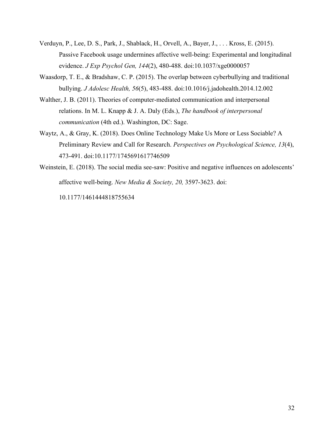- Verduyn, P., Lee, D. S., Park, J., Shablack, H., Orvell, A., Bayer, J., . . . Kross, E. (2015). Passive Facebook usage undermines affective well-being: Experimental and longitudinal evidence. *J Exp Psychol Gen, 144*(2), 480-488. doi:10.1037/xge0000057
- Waasdorp, T. E., & Bradshaw, C. P. (2015). The overlap between cyberbullying and traditional bullying. *J Adolesc Health, 56*(5), 483-488. doi:10.1016/j.jadohealth.2014.12.002
- Walther, J. B. (2011). Theories of computer-mediated communication and interpersonal relations. In M. L. Knapp & J. A. Daly (Eds.), *The handbook of interpersonal communication* (4th ed.). Washington, DC: Sage.
- Waytz, A., & Gray, K. (2018). Does Online Technology Make Us More or Less Sociable? A Preliminary Review and Call for Research. *Perspectives on Psychological Science, 13*(4), 473-491. doi:10.1177/1745691617746509
- Weinstein, E. (2018). The social media see-saw: Positive and negative influences on adolescents' affective well-being. *New Media & Society, 20,* 3597-3623. doi:

10.1177/1461444818755634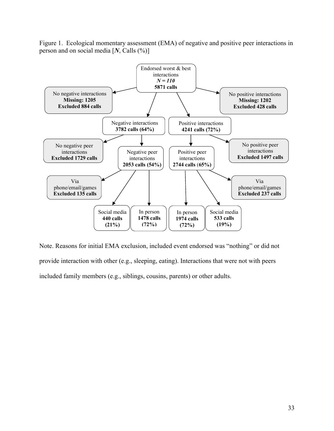Figure 1. Ecological momentary assessment (EMA) of negative and positive peer interactions in person and on social media [*N*, Calls (%)]



Note. Reasons for initial EMA exclusion, included event endorsed was "nothing" or did not provide interaction with other (e.g., sleeping, eating). Interactions that were not with peers included family members (e.g., siblings, cousins, parents) or other adults.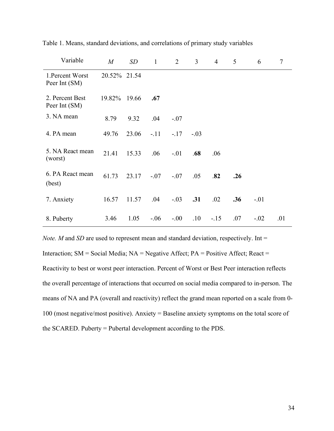| Variable                          | $\boldsymbol{M}$ | SD    | $\mathbf{1}$ | 2      | 3      | $\overline{4}$ | 5   | 6      | $\tau$ |
|-----------------------------------|------------------|-------|--------------|--------|--------|----------------|-----|--------|--------|
| 1. Percent Worst<br>Peer Int (SM) | 20.52% 21.54     |       |              |        |        |                |     |        |        |
| 2. Percent Best<br>Peer Int (SM)  | 19.82%           | 19.66 | .67          |        |        |                |     |        |        |
| 3. NA mean                        | 8.79             | 9.32  | .04          | $-.07$ |        |                |     |        |        |
| 4. PA mean                        | 49.76            | 23.06 | $-.11$       | $-.17$ | $-.03$ |                |     |        |        |
| 5. NA React mean<br>(worst)       | 21.41            | 15.33 | .06          | $-.01$ | .68    | .06            |     |        |        |
| 6. PA React mean<br>(best)        | 61.73            | 23.17 | $-.07$       | $-.07$ | .05    | .82            | .26 |        |        |
| 7. Anxiety                        | 16.57            | 11.57 | .04          | $-.03$ | .31    | .02            | .36 | $-.01$ |        |
| 8. Puberty                        | 3.46             | 1.05  | $-.06$       | $-.00$ | .10    | $-.15$         | .07 | $-.02$ | .01    |

Table 1. Means, standard deviations, and correlations of primary study variables

*Note. M* and *SD* are used to represent mean and standard deviation, respectively. Int = Interaction; SM = Social Media; NA = Negative Affect; PA = Positive Affect; React = Reactivity to best or worst peer interaction. Percent of Worst or Best Peer interaction reflects the overall percentage of interactions that occurred on social media compared to in-person. The means of NA and PA (overall and reactivity) reflect the grand mean reported on a scale from 0- 100 (most negative/most positive). Anxiety = Baseline anxiety symptoms on the total score of the SCARED. Puberty = Pubertal development according to the PDS.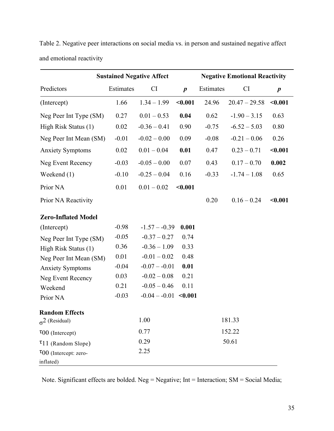|                                          | <b>Sustained Negative Affect</b> |                 |                  |           | <b>Negative Emotional Reactivity</b> |                  |  |  |
|------------------------------------------|----------------------------------|-----------------|------------------|-----------|--------------------------------------|------------------|--|--|
| Predictors                               | Estimates                        | CI              | $\boldsymbol{p}$ | Estimates | <b>CI</b>                            | $\boldsymbol{p}$ |  |  |
| (Intercept)                              | 1.66                             | $1.34 - 1.99$   | $0.001$          | 24.96     | $20.47 - 29.58$                      | < 0.001          |  |  |
| Neg Peer Int Type (SM)                   | 0.27                             | $0.01 - 0.53$   | 0.04             | 0.62      | $-1.90 - 3.15$                       | 0.63             |  |  |
| High Risk Status (1)                     | 0.02                             | $-0.36 - 0.41$  | 0.90             | $-0.75$   | $-6.52 - 5.03$                       | 0.80             |  |  |
| Neg Peer Int Mean (SM)                   | $-0.01$                          | $-0.02 - 0.00$  | 0.09             | $-0.08$   | $-0.21 - 0.06$                       | 0.26             |  |  |
| <b>Anxiety Symptoms</b>                  | 0.02                             | $0.01 - 0.04$   | 0.01             | 0.47      | $0.23 - 0.71$                        | $0.001$          |  |  |
| <b>Neg Event Recency</b>                 | $-0.03$                          | $-0.05 - 0.00$  | 0.07             | 0.43      | $0.17 - 0.70$                        | 0.002            |  |  |
| Weekend $(1)$                            | $-0.10$                          | $-0.25 - 0.04$  | 0.16             | $-0.33$   | $-1.74 - 1.08$                       | 0.65             |  |  |
| Prior NA                                 | 0.01                             | $0.01 - 0.02$   | $0.001$          |           |                                      |                  |  |  |
| Prior NA Reactivity                      |                                  |                 |                  | 0.20      | $0.16 - 0.24$                        | $0.001$          |  |  |
| <b>Zero-Inflated Model</b>               |                                  |                 |                  |           |                                      |                  |  |  |
| (Intercept)                              | $-0.98$                          | $-1.57 - -0.39$ | 0.001            |           |                                      |                  |  |  |
| Neg Peer Int Type (SM)                   | $-0.05$                          | $-0.37 - 0.27$  | 0.74             |           |                                      |                  |  |  |
| High Risk Status (1)                     | 0.36                             | $-0.36 - 1.09$  | 0.33             |           |                                      |                  |  |  |
| Neg Peer Int Mean (SM)                   | 0.01                             | $-0.01 - 0.02$  | 0.48             |           |                                      |                  |  |  |
| <b>Anxiety Symptoms</b>                  | $-0.04$                          | $-0.07 - 0.01$  | 0.01             |           |                                      |                  |  |  |
| <b>Neg Event Recency</b>                 | 0.03                             | $-0.02 - 0.08$  | 0.21             |           |                                      |                  |  |  |
| Weekend                                  | 0.21                             | $-0.05 - 0.46$  | 0.11             |           |                                      |                  |  |  |
| Prior NA                                 | $-0.03$                          | $-0.04 - 0.01$  | < 0.001          |           |                                      |                  |  |  |
| <b>Random Effects</b>                    |                                  |                 |                  |           |                                      |                  |  |  |
| $\sigma^2$ (Residual)                    |                                  | 1.00            |                  |           | 181.33                               |                  |  |  |
| $\tau_{00}$ (Intercept)                  |                                  | 0.77            |                  |           | 152.22                               |                  |  |  |
| $\tau$ 11 (Random Slope)                 |                                  | 0.29            |                  |           | 50.61                                |                  |  |  |
| $\tau$ 00 (Intercept: zero-<br>inflated) |                                  | 2.25            |                  |           |                                      |                  |  |  |

Table 2. Negative peer interactions on social media vs. in person and sustained negative affect and emotional reactivity

Note. Significant effects are bolded. Neg = Negative; Int = Interaction; SM = Social Media;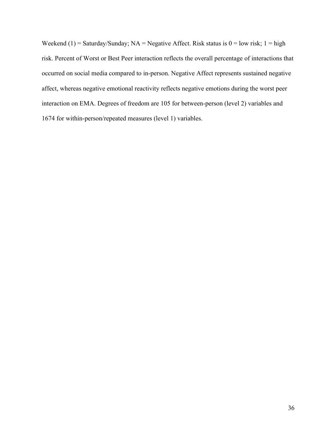Weekend (1) = Saturday/Sunday; NA = Negative Affect. Risk status is  $0 =$  low risk;  $1 =$  high risk. Percent of Worst or Best Peer interaction reflects the overall percentage of interactions that occurred on social media compared to in-person. Negative Affect represents sustained negative affect, whereas negative emotional reactivity reflects negative emotions during the worst peer interaction on EMA. Degrees of freedom are 105 for between-person (level 2) variables and 1674 for within-person/repeated measures (level 1) variables.